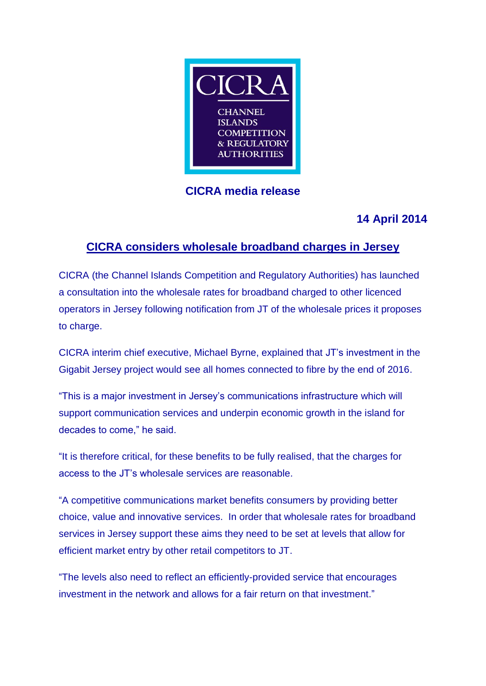

## **CICRA media release**

# **14 April 2014**

## **CICRA considers wholesale broadband charges in Jersey**

CICRA (the Channel Islands Competition and Regulatory Authorities) has launched a consultation into the wholesale rates for broadband charged to other licenced operators in Jersey following notification from JT of the wholesale prices it proposes to charge.

CICRA interim chief executive, Michael Byrne, explained that JT's investment in the Gigabit Jersey project would see all homes connected to fibre by the end of 2016.

"This is a major investment in Jersey's communications infrastructure which will support communication services and underpin economic growth in the island for decades to come," he said.

"It is therefore critical, for these benefits to be fully realised, that the charges for access to the JT's wholesale services are reasonable.

"A competitive communications market benefits consumers by providing better choice, value and innovative services. In order that wholesale rates for broadband services in Jersey support these aims they need to be set at levels that allow for efficient market entry by other retail competitors to JT.

"The levels also need to reflect an efficiently-provided service that encourages investment in the network and allows for a fair return on that investment."